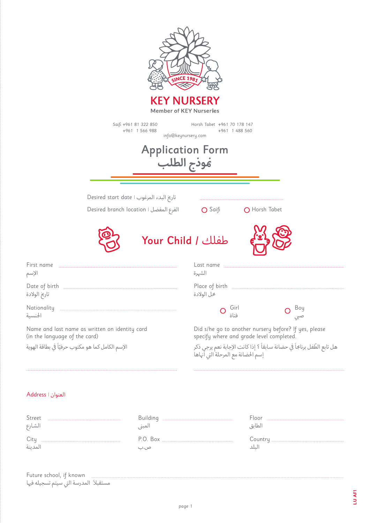

#### العنوان | Address

| Street<br>الشارع | لمبہ       | ioor<br>لطانة |
|------------------|------------|---------------|
| $\sim$ 1         | <b>Box</b> |               |

Future school, if known مستقبلاً المدرسة التي سيتم تسجيله فيها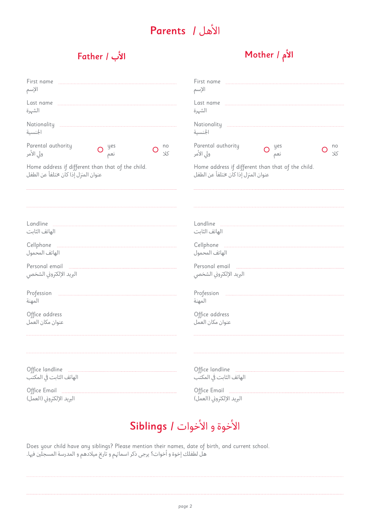### األهل / Parents

#### **األم** / Mother **األب** / Father

| First name                                        |                                                                           |
|---------------------------------------------------|---------------------------------------------------------------------------|
| الإسم                                             | الإسم                                                                     |
|                                                   |                                                                           |
| الشهرة                                            | الشهرة                                                                    |
| Nationality                                       | Nationality                                                               |
| الجنسية                                           | الجنسية                                                                   |
| Parental authority                                | Parental authority                                                        |
| no                                                | no                                                                        |
| $O$ yes                                           | yes                                                                       |
| 35                                                | ولى الأمر                                                                 |
| ولى الأمر                                         | 72                                                                        |
| نعم                                               | نعم                                                                       |
| Home address if different than that of the child. | Home address if different than that of the child.                         |
| عنوان المنزل إذا كان ختلفاً عن الطفل              | عنوان المنزل إذا كان ختلفاً عن الطفل                                      |
|                                                   |                                                                           |
| الهاتف الثابت                                     | الهاتف الثابت                                                             |
| Cellphone<br>الهاتف المحمول                       | الهاتف المحمول                                                            |
| Personal email<br>البريد الإلكتروني الشخصي        | Personal email <b>Election</b> Personal email<br>البريد الإلكتروني الشخصي |
| Profession                                        | Profession                                                                |
| المهنة                                            | المهنة                                                                    |
| Office address                                    | Office address                                                            |
| عنوان مكان العمل                                  | عنوان مكان العمل                                                          |
|                                                   |                                                                           |
| الهاتف الثابت في المكتب                           | الهاتف الثابت في المكتب                                                   |
|                                                   | Office Email <b>Manual</b> Communication                                  |
| البريد الإلكتروني (العمل)                         | البريد الإلكتروني (العمل)                                                 |

## األخوة و األخوات / Siblings

Does your child have any siblings? Please mention their names, date of birth, and current school. هل لطفلك إخوة و أخوات؟ يرجى ذكر اسماهئم و تارخي ميالدهم و المدرسة المسجلني فهيا.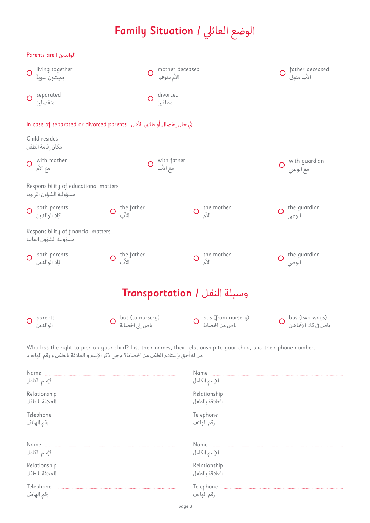# الوضع العائيل / Situation Family

| Parents are   الوالدين                                                 |                                        |                                     |                                      |                |                                        |  |  |
|------------------------------------------------------------------------|----------------------------------------|-------------------------------------|--------------------------------------|----------------|----------------------------------------|--|--|
| living together<br>O<br>يعيشون سويةً                                   |                                        | mother deceased<br>O<br>الأم متوفية |                                      |                | father deceased<br>الأب متوفى          |  |  |
| separated<br>$\circ$<br>منفصلين                                        |                                        | divorced<br>مطلقين                  |                                      |                |                                        |  |  |
| في حال إنفصال أو طلاق الأهل ا In case of separated or divorced parents |                                        |                                     |                                      |                |                                        |  |  |
| Child resides<br>مكان إقامة الطفل                                      |                                        |                                     |                                      |                |                                        |  |  |
| with mother<br>$\bigcirc$<br>مع الأم                                   | O with father<br>مع الأب<br>$\bigcirc$ |                                     |                                      |                |                                        |  |  |
| Responsibility of educational matters<br>مسؤولية الشؤون التربوية       |                                        |                                     |                                      |                |                                        |  |  |
| both parents<br>کِلا الوالدین                                          | O the father                           | $\overline{O}$                      | the mother<br>الأم                   | $\overline{O}$ | the guardian<br>الوصى                  |  |  |
| Responsibility of financial matters<br>مسؤولية الشؤون المالية          |                                        |                                     |                                      |                |                                        |  |  |
| both parents<br>كلا الوالدين                                           | O the father<br>الأب                   | O                                   | the mother<br>الأم                   | $\bigcirc$     | the guardian<br>الوصى                  |  |  |
|                                                                        |                                        |                                     | وسيلة النقل / Transportation         |                |                                        |  |  |
|                                                                        |                                        |                                     |                                      |                |                                        |  |  |
| parents<br>الوالدين                                                    | bus (to nursery)<br>باص إلى الحضانة    |                                     | bus (from nursery)<br>باص من الحضانة |                | bus (two ways)<br>باص في كلا الإتجاهين |  |  |

Who has the right to pick up your child? List their names, their relationship to your child, and their phone number. من له أحلق بإستالم الطفل من احلضانة؟ يرجى ذكر اإلسم و العالقة بالطفل و رقم الهاتف.

| Name                    | Name                    |
|-------------------------|-------------------------|
|                         |                         |
| الإسم الكامل            | الإسم الكامل            |
|                         |                         |
| العلاقة بالطفل          | العلاقة بالطفل          |
| Telephone               | Telephone               |
|                         |                         |
| رقم الهاتف              | رقم الهاتف              |
| Name<br>الإسم الكامل    | الإسم الكامل            |
|                         |                         |
| العلاقة بالطفل          | العلاقة بالطفل          |
| Telephone<br>رقم الهاتف | Telephone<br>رقم الهاتف |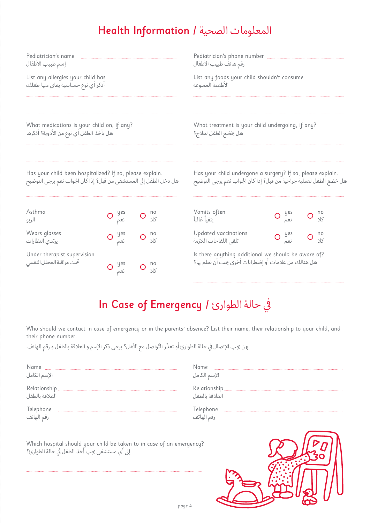### المعلومات الصحية / Information Health

| Pediatrician's name<br>إسم طبيب الأطفال                                                                                       |            |                       | Pediatrician's phone number<br>رقم هاتف طبيب الأطفال                                                        |                                                                                                                                  |  |  |  |  |  |
|-------------------------------------------------------------------------------------------------------------------------------|------------|-----------------------|-------------------------------------------------------------------------------------------------------------|----------------------------------------------------------------------------------------------------------------------------------|--|--|--|--|--|
| List any allergies your child has<br>أذكر أي نوع حساسية يعاني منها طفلك                                                       |            |                       | List any foods your child shouldn't consume<br>الأطعمة الممنوعة                                             |                                                                                                                                  |  |  |  |  |  |
| What medications is your child on, if any?<br>هل يأخذ الطفل أي نوع من الأدوية؟ أذكرها                                         |            |                       | What treatment is your child undergoing, if any?<br>هل يخضع الطفل لعلاج؟                                    |                                                                                                                                  |  |  |  |  |  |
| Has your child been hospitalized? If so, please explain.<br>هل دخل الطفل إلى المستشفى من قبل؟ إذا كان الجواب نعم يرجى التوضيح |            |                       |                                                                                                             | Has your child undergone a surgery? If so, please explain.<br>هل خضع الطفل لعملية جراحية من قبل؟ إذا كان الجواب نعم يرجى التوضيح |  |  |  |  |  |
| Asthma<br>الر بو                                                                                                              | yes<br>نعم | no<br>$\sqrt{5}$      | Vomits often<br>بتقيأ غالبأ                                                                                 | no<br>35                                                                                                                         |  |  |  |  |  |
| Wears glasses<br>يرتدى النظارات                                                                                               | yes<br>نعم | no<br>O<br>$\sqrt{5}$ | Updated vaccinations<br>تلقى اللقاحات اللازمة                                                               | yes<br>no<br>$\sqrt{5}$<br>نعم                                                                                                   |  |  |  |  |  |
| Under therapist supervision<br>تحت مراقبة المحلل النفسي                                                                       | yes<br>نعم | no<br>$\sqrt{5}$      | Is there anything additional we should be aware of?<br>هل هنالك من علامات أو إضطرابات أخرى يجب أن نعلم بها؟ |                                                                                                                                  |  |  |  |  |  |

# In Case of Emergency / في حالة الطوارئ /

Who should we contact in case of emergency or in the parents*'* absence? List their name, their relationship to your child, and their phone number.

من يجب الإتصال في حالة الطوارئ أو تعذّر التّواصل مع الأهل؟ يرجى ذكر الإسم و العلاقة بالطفل و رقم الهاتف.

| Name<br>الإسم الكامل    | الإسم الكامل                          |
|-------------------------|---------------------------------------|
| العلاقة بالطفل          | <b>Relationship</b><br>العلاقة بالطفل |
| Telephone<br>رقم الهاتف | ِفم الهانف                            |

|                                              |  |  |  |  |  | Which hospital should your child be taken to in case of an emergency? |  |
|----------------------------------------------|--|--|--|--|--|-----------------------------------------------------------------------|--|
| إلى أي مستشفى يجب أخذ الطفل في حالة الطوارئ؟ |  |  |  |  |  |                                                                       |  |